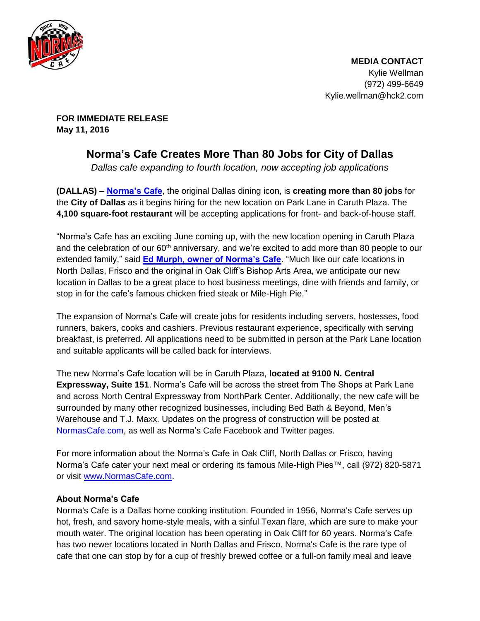

**FOR IMMEDIATE RELEASE May 11, 2016** 

## **Norma's Cafe Creates More Than 80 Jobs for City of Dallas**

Dallas cafe expanding to fourth location, now accepting job applications

**(DALLAS) – [Norma's Cafe](http://normascafe.com/)**, the original Dallas dining icon, is **creating more than 80 jobs** for the **City of Dallas** as it begins hiring for the new location on Park Lane in Caruth Plaza. The **4,100 square-foot restaurant** will be accepting applications for front- and back-of-house staff.

"Norma's Cafe has an exciting June coming up, with the new location opening in Caruth Plaza and the celebration of our  $60<sup>th</sup>$  anniversary, and we're excited to add more than 80 people to our extended family," said **[Ed Murph, owner of Norma's Cafe](http://normascafe.com/about/)**. "Much like our cafe locations in North Dallas, Frisco and the original in Oak Cliff's Bishop Arts Area, we anticipate our new location in Dallas to be a great place to host business meetings, dine with friends and family, or stop in for the cafe's famous chicken fried steak or Mile-High Pie."

The expansion of Norma's Cafe will create jobs for residents including servers, hostesses, food runners, bakers, cooks and cashiers. Previous restaurant experience, specifically with serving breakfast, is preferred. All applications need to be submitted in person at the Park Lane location and suitable applicants will be called back for interviews.

The new Norma's Cafe location will be in Caruth Plaza, **located at 9100 N. Central Expressway, Suite 151**. Norma's Cafe will be across the street from The Shops at Park Lane and across North Central Expressway from NorthPark Center. Additionally, the new cafe will be surrounded by many other recognized businesses, including Bed Bath & Beyond, Men's Warehouse and T.J. Maxx. Updates on the progress of construction will be posted at [NormasCafe.com,](http://www.normascafe.com/) as well as Norma's Cafe Facebook and Twitter pages.

For more information about the Norma's Cafe in Oak Cliff, North Dallas or Frisco, having Norma's Cafe cater your next meal or ordering its famous Mile-High Pies™, call (972) 820-5871 or visit [www.NormasCafe.com.](http://www.normascafe.com/)

## **About Norma's Cafe**

Norma's Cafe is a Dallas home cooking institution. Founded in 1956, Norma's Cafe serves up hot, fresh, and savory home-style meals, with a sinful Texan flare, which are sure to make your mouth water. The original location has been operating in Oak Cliff for 60 years. Norma's Cafe has two newer locations located in North Dallas and Frisco. Norma's Cafe is the rare type of cafe that one can stop by for a cup of freshly brewed coffee or a full-on family meal and leave